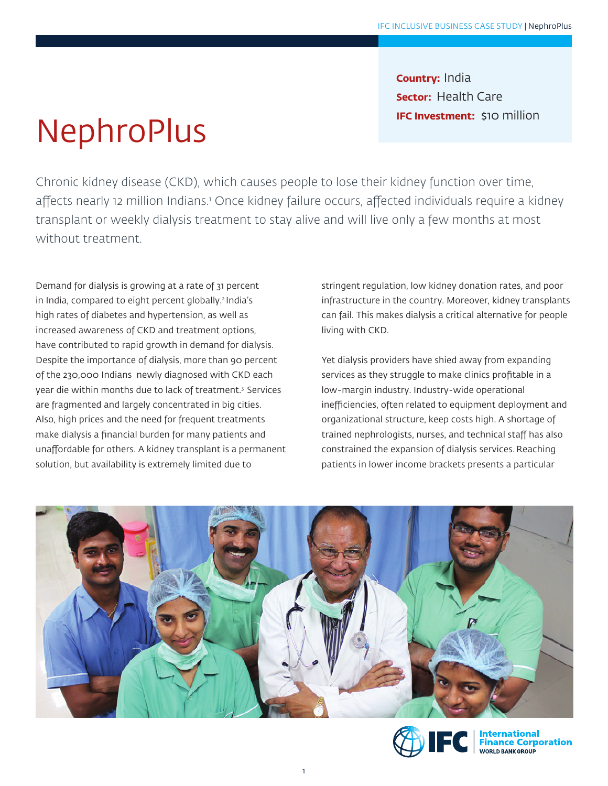**NephroPlus** 

**Country:** India **Sector:** Health Care **IFC Investment:** \$10 million

Chronic kidney disease (CKD), which causes people to lose their kidney function over time, affects nearly 12 million Indians.' Once kidney failure occurs, affected individuals require a kidney transplant or weekly dialysis treatment to stay alive and will live only a few months at most without treatment.

Demand for dialysis is growing at a rate of 31 percent in India, compared to eight percent globally.<sup>2</sup> India's high rates of diabetes and hypertension, as well as increased awareness of CKD and treatment options, have contributed to rapid growth in demand for dialysis. Despite the importance of dialysis, more than 90 percent of the 230,000 Indians newly diagnosed with CKD each year die within months due to lack of treatment.3 Services are fragmented and largely concentrated in big cities. Also, high prices and the need for frequent treatments make dialysis a financial burden for many patients and unaffordable for others. A kidney transplant is a permanent solution, but availability is extremely limited due to

stringent regulation, low kidney donation rates, and poor infrastructure in the country. Moreover, kidney transplants can fail. This makes dialysis a critical alternative for people living with CKD.

Yet dialysis providers have shied away from expanding services as they struggle to make clinics profitable in a low-margin industry. Industry-wide operational inefficiencies, often related to equipment deployment and organizational structure, keep costs high. A shortage of trained nephrologists, nurses, and technical staff has also constrained the expansion of dialysis services.Reaching patients in lower income brackets presents a particular



1

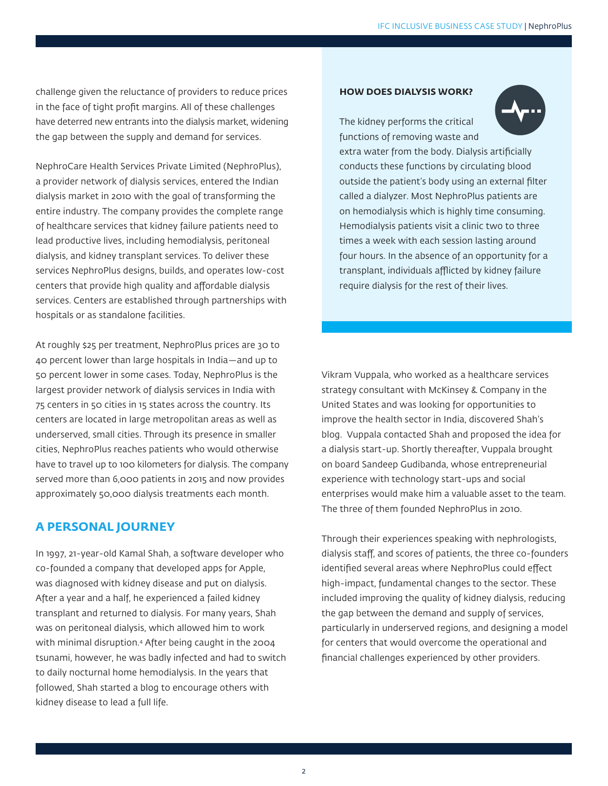challenge given the reluctance of providers to reduce prices in the face of tight profit margins. All of these challenges have deterred new entrants into the dialysis market, widening the gap between the supply and demand for services.

NephroCare Health Services Private Limited (NephroPlus), a provider network of dialysis services, entered the Indian dialysis market in 2010 with the goal of transforming the entire industry. The company provides the complete range of healthcare services that kidney failure patients need to lead productive lives, including hemodialysis, peritoneal dialysis, and kidney transplant services. To deliver these services NephroPlus designs, builds, and operates low-cost centers that provide high quality and affordable dialysis services. Centers are established through partnerships with hospitals or as standalone facilities.

At roughly \$25 per treatment, NephroPlus prices are 30 to 40 percent lower than large hospitals in India—and up to 50 percent lower in some cases. Today, NephroPlus is the largest provider network of dialysis services in India with 75 centers in 50 cities in 15 states across the country. Its centers are located in large metropolitan areas as well as underserved, small cities. Through its presence in smaller cities, NephroPlus reaches patients who would otherwise have to travel up to 100 kilometers for dialysis. The company served more than 6,000 patients in 2015 and now provides approximately 50,000 dialysis treatments each month.

## **A PERSONAL JOURNEY**

In 1997, 21-year-old Kamal Shah, a software developer who co-founded a company that developed apps for Apple, was diagnosed with kidney disease and put on dialysis. After a year and a half, he experienced a failed kidney transplant and returned to dialysis. For many years, Shah was on peritoneal dialysis, which allowed him to work with minimal disruption.4 After being caught in the 2004 tsunami, however, he was badly infected and had to switch to daily nocturnal home hemodialysis. In the years that followed, Shah started a blog to encourage others with kidney disease to lead a full life.

#### **HOW DOES DIALYSIS WORK?**



The kidney performs the critical functions of removing waste and extra water from the body. Dialysis artificially conducts these functions by circulating blood outside the patient's body using an external filter called a dialyzer. Most NephroPlus patients are on hemodialysis which is highly time consuming. Hemodialysis patients visit a clinic two to three times a week with each session lasting around four hours. In the absence of an opportunity for a transplant, individuals afflicted by kidney failure require dialysis for the rest of their lives.

Vikram Vuppala, who worked as a healthcare services strategy consultant with McKinsey & Company in the United States and was looking for opportunities to improve the health sector in India, discovered Shah's blog. Vuppala contacted Shah and proposed the idea for a dialysis start-up. Shortly thereafter, Vuppala brought on board Sandeep Gudibanda, whose entrepreneurial experience with technology start-ups and social enterprises would make him a valuable asset to the team. The three of them founded NephroPlus in 2010.

Through their experiences speaking with nephrologists, dialysis staff, and scores of patients, the three co-founders identified several areas where NephroPlus could effect high-impact, fundamental changes to the sector. These included improving the quality of kidney dialysis, reducing the gap between the demand and supply of services, particularly in underserved regions, and designing a model for centers that would overcome the operational and financial challenges experienced by other providers.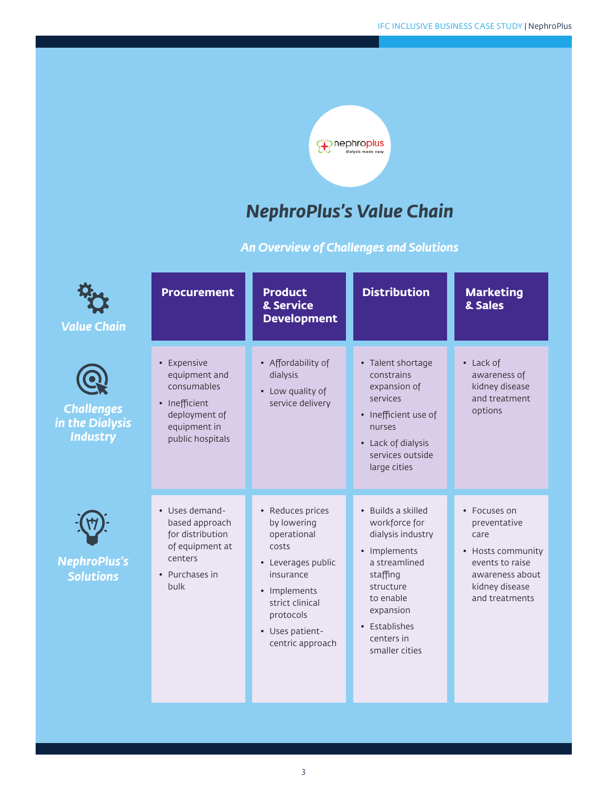

# *NephroPlus's Value Chain*

# *An Overview of Challenges and Solutions*

| <b>Value Chain</b>                                      | <b>Procurement</b>                                                                                                | <b>Product</b><br>& Service<br><b>Development</b>                                                                                                                                 | <b>Distribution</b>                                                                                                                                                                           | <b>Marketing</b><br>& Sales                                                                                                         |
|---------------------------------------------------------|-------------------------------------------------------------------------------------------------------------------|-----------------------------------------------------------------------------------------------------------------------------------------------------------------------------------|-----------------------------------------------------------------------------------------------------------------------------------------------------------------------------------------------|-------------------------------------------------------------------------------------------------------------------------------------|
| <b>Challenges</b><br>in the Dialysis<br><b>Industry</b> | • Expensive<br>equipment and<br>consumables<br>• Inefficient<br>deployment of<br>equipment in<br>public hospitals | • Affordability of<br>dialysis<br>• Low quality of<br>service delivery                                                                                                            | • Talent shortage<br>constrains<br>expansion of<br>services<br>• Inefficient use of<br>nurses<br>• Lack of dialysis<br>services outside<br>large cities                                       | • Lack of<br>awareness of<br>kidney disease<br>and treatment<br>options                                                             |
| <b>NephroPlus's</b><br><b>Solutions</b>                 | • Uses demand-<br>based approach<br>for distribution<br>of equipment at<br>centers<br>• Purchases in<br>bulk      | • Reduces prices<br>by lowering<br>operational<br>costs<br>• Leverages public<br>insurance<br>• Implements<br>strict clinical<br>protocols<br>• Uses patient-<br>centric approach | • Builds a skilled<br>workforce for<br>dialysis industry<br>• Implements<br>a streamlined<br>staffing<br>structure<br>to enable<br>expansion<br>• Establishes<br>centers in<br>smaller cities | • Focuses on<br>preventative<br>care<br>• Hosts community<br>events to raise<br>awareness about<br>kidney disease<br>and treatments |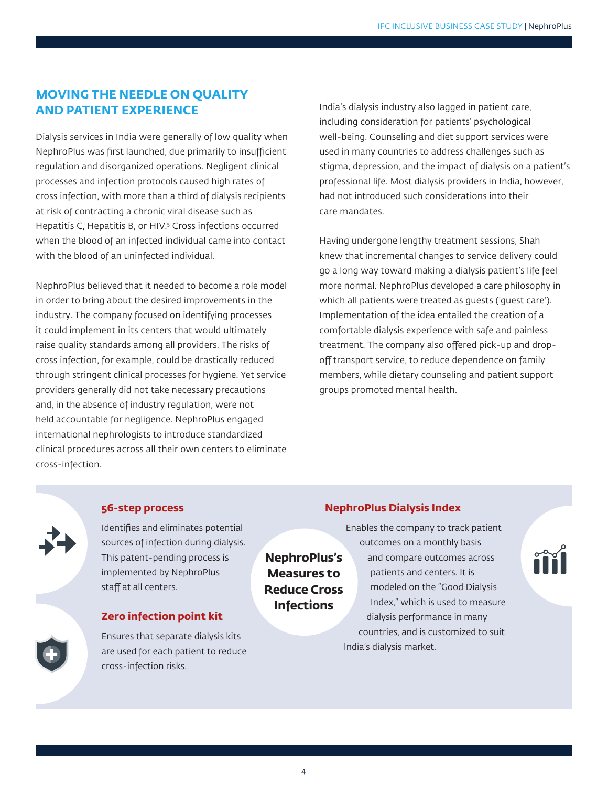## **MOVING THE NEEDLE ON QUALITY AND PATIENT EXPERIENCE**

Dialysis services in India were generally of low quality when NephroPlus was first launched, due primarily to insufficient regulation and disorganized operations. Negligent clinical processes and infection protocols caused high rates of cross infection, with more than a third of dialysis recipients at risk of contracting a chronic viral disease such as Hepatitis C, Hepatitis B, or HIV.5 Cross infections occurred when the blood of an infected individual came into contact with the blood of an uninfected individual.

NephroPlus believed that it needed to become a role model in order to bring about the desired improvements in the industry. The company focused on identifying processes it could implement in its centers that would ultimately raise quality standards among all providers. The risks of cross infection, for example, could be drastically reduced through stringent clinical processes for hygiene. Yet service providers generally did not take necessary precautions and, in the absence of industry regulation, were not held accountable for negligence. NephroPlus engaged international nephrologists to introduce standardized clinical procedures across all their own centers to eliminate cross-infection.

India's dialysis industry also lagged in patient care, including consideration for patients' psychological well-being. Counseling and diet support services were used in many countries to address challenges such as stigma, depression, and the impact of dialysis on a patient's professional life. Most dialysis providers in India, however, had not introduced such considerations into their care mandates.

Having undergone lengthy treatment sessions, Shah knew that incremental changes to service delivery could go a long way toward making a dialysis patient's life feel more normal. NephroPlus developed a care philosophy in which all patients were treated as guests ('guest care'). Implementation of the idea entailed the creation of a comfortable dialysis experience with safe and painless treatment. The company also offered pick-up and dropoff transport service, to reduce dependence on family members, while dietary counseling and patient support groups promoted mental health.

#### **56-step process**

Identifies and eliminates potential sources of infection during dialysis. This patent-pending process is implemented by NephroPlus staff at all centers.

#### **Zero infection point kit**

Ensures that separate dialysis kits are used for each patient to reduce cross-infection risks.

## **NephroPlus Dialysis Index**

Enables the company to track patient outcomes on a monthly basis and compare outcomes across patients and centers. It is modeled on the "Good Dialysis Index," which is used to measure dialysis performance in many countries, and is customized to suit India's dialysis market.



**NephroPlus's Measures to Reduce Cross Infections**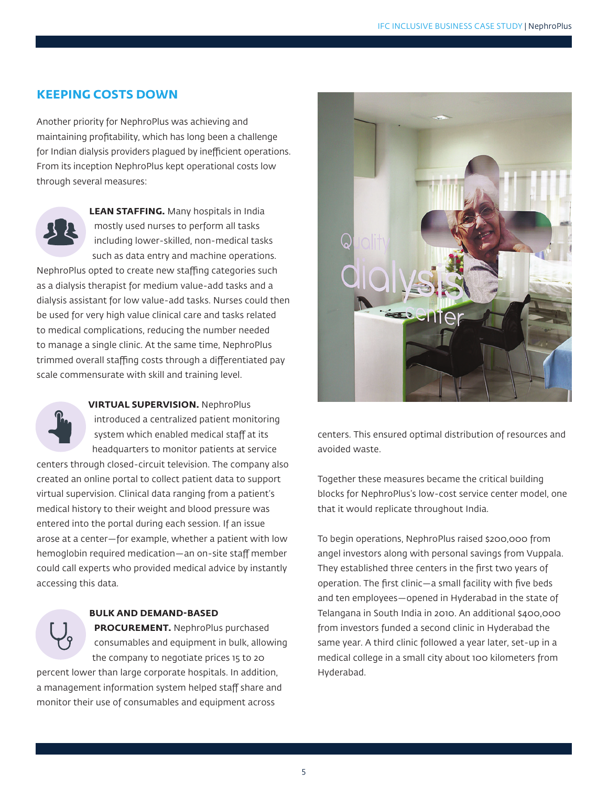## **KEEPING COSTS DOWN**

Another priority for NephroPlus was achieving and maintaining profitability, which has long been a challenge for Indian dialysis providers plagued by inefficient operations. From its inception NephroPlus kept operational costs low through several measures:



**LEAN STAFFING.** Many hospitals in India mostly used nurses to perform all tasks including lower-skilled, non-medical tasks such as data entry and machine operations.

NephroPlus opted to create new staffing categories such as a dialysis therapist for medium value-add tasks and a dialysis assistant for low value-add tasks. Nurses could then be used for very high value clinical care and tasks related to medical complications, reducing the number needed to manage a single clinic. At the same time, NephroPlus trimmed overall staffing costs through a differentiated pay scale commensurate with skill and training level.



**VIRTUAL SUPERVISION.** NephroPlus

introduced a centralized patient monitoring system which enabled medical staff at its headquarters to monitor patients at service

centers through closed-circuit television. The company also created an online portal to collect patient data to support virtual supervision. Clinical data ranging from a patient's medical history to their weight and blood pressure was entered into the portal during each session. If an issue arose at a center—for example, whether a patient with low hemoglobin required medication—an on-site staff member could call experts who provided medical advice by instantly accessing this data.

#### **BULK AND DEMAND-BASED**

**PROCUREMENT.** NephroPlus purchased consumables and equipment in bulk, allowing the company to negotiate prices 15 to 20

percent lower than large corporate hospitals. In addition, a management information system helped staff share and monitor their use of consumables and equipment across



centers. This ensured optimal distribution of resources and avoided waste.

Together these measures became the critical building blocks for NephroPlus's low-cost service center model, one that it would replicate throughout India.

To begin operations, NephroPlus raised \$200,000 from angel investors along with personal savings from Vuppala. They established three centers in the first two years of operation. The first clinic—a small facility with five beds and ten employees—opened in Hyderabad in the state of Telangana in South India in 2010. An additional \$400,000 from investors funded a second clinic in Hyderabad the same year. A third clinic followed a year later, set-up in a medical college in a small city about 100 kilometers from Hyderabad.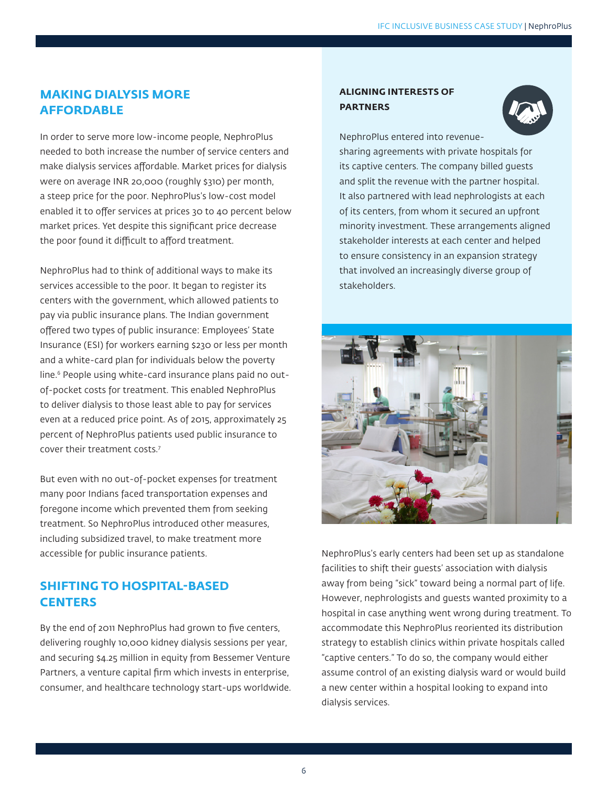## **MAKING DIALYSIS MORE AFFORDABLE**

In order to serve more low-income people, NephroPlus needed to both increase the number of service centers and make dialysis services affordable. Market prices for dialysis were on average INR 20,000 (roughly \$310) per month, a steep price for the poor. NephroPlus's low-cost model enabled it to offer services at prices 30 to 40 percent below market prices. Yet despite this significant price decrease the poor found it difficult to afford treatment.

NephroPlus had to think of additional ways to make its services accessible to the poor. It began to register its centers with the government, which allowed patients to pay via public insurance plans. The Indian government offered two types of public insurance: Employees' State Insurance (ESI) for workers earning \$230 or less per month and a white-card plan for individuals below the poverty line.<sup>6</sup> People using white-card insurance plans paid no outof-pocket costs for treatment. This enabled NephroPlus to deliver dialysis to those least able to pay for services even at a reduced price point. As of 2015, approximately 25 percent of NephroPlus patients used public insurance to cover their treatment costs.7

But even with no out-of-pocket expenses for treatment many poor Indians faced transportation expenses and foregone income which prevented them from seeking treatment. So NephroPlus introduced other measures, including subsidized travel, to make treatment more accessible for public insurance patients.

## **SHIFTING TO HOSPITAL-BASED CENTERS**

By the end of 2011 NephroPlus had grown to five centers, delivering roughly 10,000 kidney dialysis sessions per year, and securing \$4.25 million in equity from Bessemer Venture Partners, a venture capital firm which invests in enterprise, consumer, and healthcare technology start-ups worldwide.

#### **ALIGNING INTERESTS OF PARTNERS**



NephroPlus entered into revenuesharing agreements with private hospitals for its captive centers. The company billed guests and split the revenue with the partner hospital. It also partnered with lead nephrologists at each of its centers, from whom it secured an upfront minority investment. These arrangements aligned stakeholder interests at each center and helped to ensure consistency in an expansion strategy that involved an increasingly diverse group of stakeholders.



NephroPlus's early centers had been set up as standalone facilities to shift their guests' association with dialysis away from being "sick" toward being a normal part of life. However, nephrologists and guests wanted proximity to a hospital in case anything went wrong during treatment. To accommodate this NephroPlus reoriented its distribution strategy to establish clinics within private hospitals called "captive centers." To do so, the company would either assume control of an existing dialysis ward or would build a new center within a hospital looking to expand into dialysis services.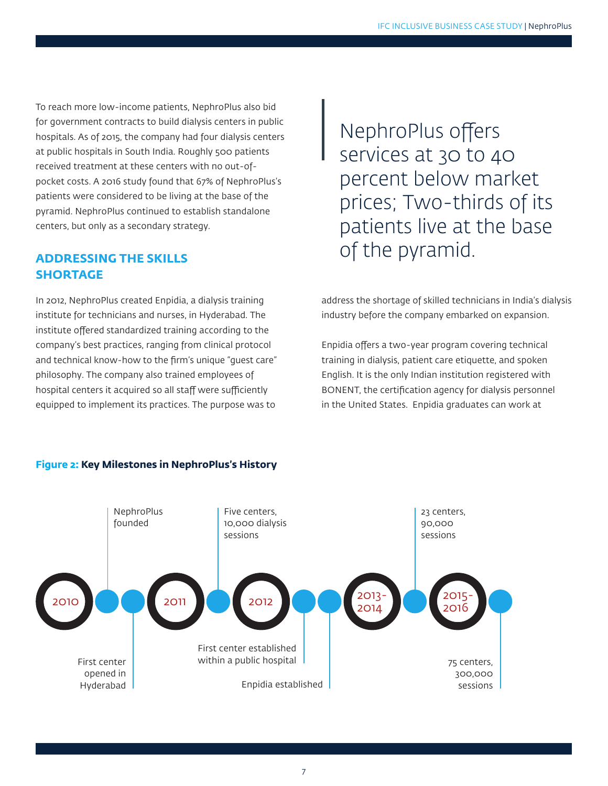To reach more low-income patients, NephroPlus also bid for government contracts to build dialysis centers in public hospitals. As of 2015, the company had four dialysis centers at public hospitals in South India. Roughly 500 patients received treatment at these centers with no out-ofpocket costs. A 2016 study found that 67% of NephroPlus's patients were considered to be living at the base of the pyramid. NephroPlus continued to establish standalone centers, but only as a secondary strategy.

## **ADDRESSING THE SKILLS SHORTAGE**

In 2012, NephroPlus created Enpidia, a dialysis training institute for technicians and nurses, in Hyderabad. The institute offered standardized training according to the company's best practices, ranging from clinical protocol and technical know-how to the firm's unique "guest care" philosophy. The company also trained employees of hospital centers it acquired so all staff were sufficiently equipped to implement its practices. The purpose was to

NephroPlus offers services at 30 to 40 percent below market prices; Two-thirds of its patients live at the base of the pyramid.

address the shortage of skilled technicians in India's dialysis industry before the company embarked on expansion.

Enpidia offers a two-year program covering technical training in dialysis, patient care etiquette, and spoken English. It is the only Indian institution registered with BONENT, the certification agency for dialysis personnel in the United States. Enpidia graduates can work at



#### **Figure 2: Key Milestones in NephroPlus's History**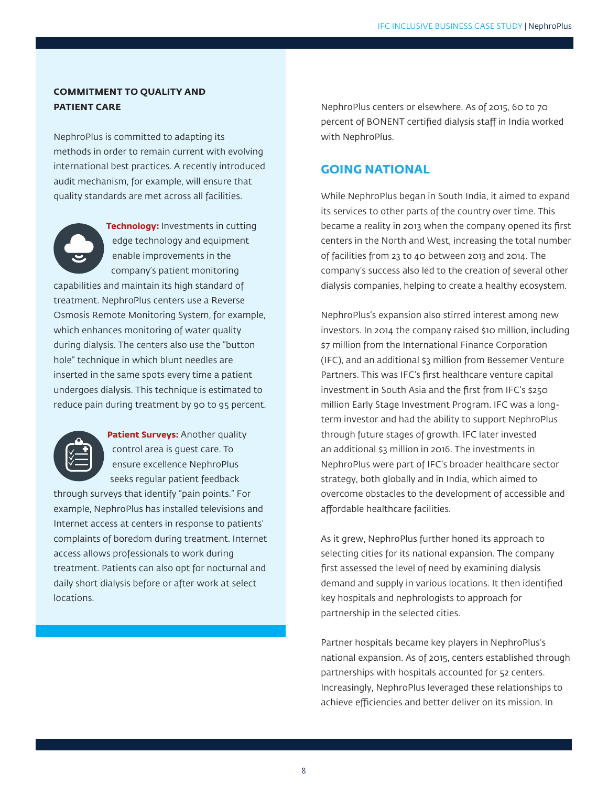#### **COMMITMENT TO QUALITY AND PATIENT CARE**

NephroPlus is committed to adapting its methods in order to remain current with evolving international best practices. A recently introduced audit mechanism, for example, will ensure that quality standards are met across all facilities.



**Technology:** Investments in cutting edge technology and equipment enable improvements in the company's patient monitoring

capabilities and maintain its high standard of treatment. NephroPlus centers use a Reverse Osmosis Remote Monitoring System, for example, which enhances monitoring of water quality during dialysis. The centers also use the "button hole" technique in which blunt needles are inserted in the same spots every time a patient undergoes dialysis. This technique is estimated to reduce pain during treatment by 90 to 95 percent.



**Patient Surveys: Another quality** control area is guest care. To ensure excellence NephroPlus seeks regular patient feedback

through surveys that identify "pain points." For example, NephroPlus has installed televisions and Internet access at centers in response to patients' complaints of boredom during treatment. Internet access allows professionals to work during treatment. Patients can also opt for nocturnal and daily short dialysis before or after work at select locations.

NephroPlus centers or elsewhere. As of 2015, 60 to 70 percent of BONENT certified dialysis staff in India worked with NephroPlus.

## **GOING NATIONAL**

While NephroPlus began in South India, it aimed to expand its services to other parts of the country over time. This became a reality in 2013 when the company opened its first centers in the North and West, increasing the total number of facilities from 23 to 40 between 2013 and 2014. The company's success also led to the creation of several other dialysis companies, helping to create a healthy ecosystem.

NephroPlus's expansion also stirred interest among new investors. In 2014 the company raised \$10 million, including \$7 million from the International Finance Corporation (IFC), and an additional \$3 million from Bessemer Venture Partners. This was IFC's first healthcare venture capital investment in South Asia and the first from IFC's \$250 million Early Stage Investment Program. IFC was a longterm investor and had the ability to support NephroPlus through future stages of growth. IFC later invested an additional \$3 million in 2016. The investments in NephroPlus were part of IFC's broader healthcare sector strategy, both globally and in India, which aimed to overcome obstacles to the development of accessible and affordable healthcare facilities.

As it grew, NephroPlus further honed its approach to selecting cities for its national expansion. The company first assessed the level of need by examining dialysis demand and supply in various locations. It then identified key hospitals and nephrologists to approach for partnership in the selected cities.

Partner hospitals became key players in NephroPlus's national expansion. As of 2015, centers established through partnerships with hospitals accounted for 52 centers. Increasingly, NephroPlus leveraged these relationships to achieve efficiencies and better deliver on its mission. In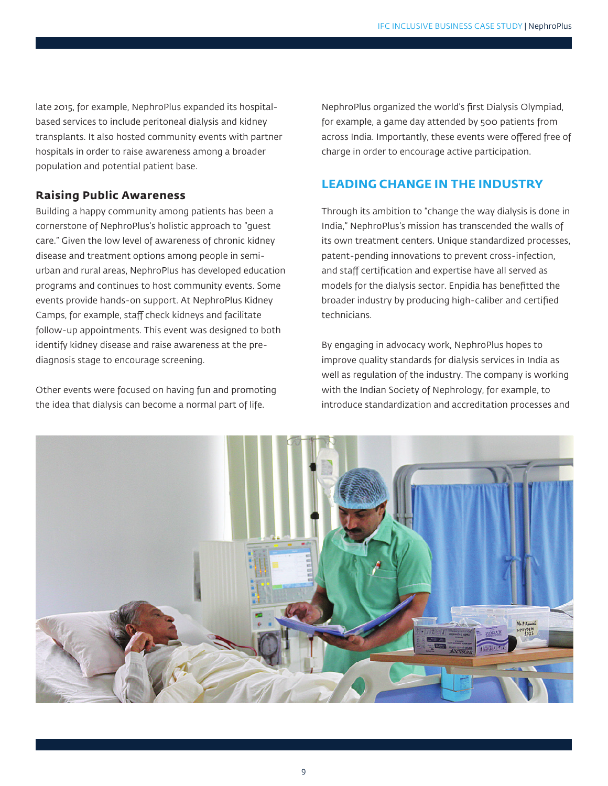late 2015, for example, NephroPlus expanded its hospitalbased services to include peritoneal dialysis and kidney transplants. It also hosted community events with partner hospitals in order to raise awareness among a broader population and potential patient base.

## **Raising Public Awareness**

Building a happy community among patients has been a cornerstone of NephroPlus's holistic approach to "guest care." Given the low level of awareness of chronic kidney disease and treatment options among people in semiurban and rural areas, NephroPlus has developed education programs and continues to host community events. Some events provide hands-on support. At NephroPlus Kidney Camps, for example, staff check kidneys and facilitate follow-up appointments. This event was designed to both identify kidney disease and raise awareness at the prediagnosis stage to encourage screening.

Other events were focused on having fun and promoting the idea that dialysis can become a normal part of life.

NephroPlus organized the world's first Dialysis Olympiad, for example, a game day attended by 500 patients from across India. Importantly, these events were offered free of charge in order to encourage active participation.

## **LEADING CHANGE IN THE INDUSTRY**

Through its ambition to "change the way dialysis is done in India," NephroPlus's mission has transcended the walls of its own treatment centers. Unique standardized processes, patent-pending innovations to prevent cross-infection, and staff certification and expertise have all served as models for the dialysis sector. Enpidia has benefitted the broader industry by producing high-caliber and certified technicians.

By engaging in advocacy work, NephroPlus hopes to improve quality standards for dialysis services in India as well as regulation of the industry. The company is working with the Indian Society of Nephrology, for example, to introduce standardization and accreditation processes and